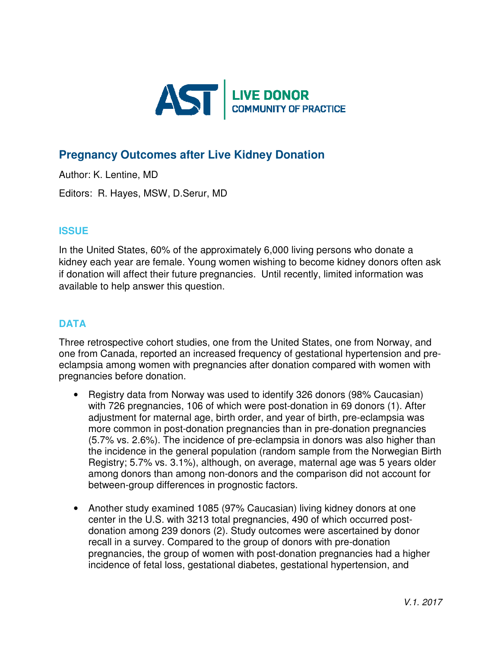

# **Pregnancy Outcomes after Live Kidney Donation**

Author: K. Lentine, MD

Editors: R. Hayes, MSW, D.Serur, MD

### **ISSUE**

In the United States, 60% of the approximately 6,000 living persons who donate a kidney each year are female. Young women wishing to become kidney donors often ask if donation will affect their future pregnancies. Until recently, limited information was available to help answer this question.

## **DATA**

Three retrospective cohort studies, one from the United States, one from Norway, and one from Canada, reported an increased frequency of gestational hypertension and preeclampsia among women with pregnancies after donation compared with women with pregnancies before donation.

- Registry data from Norway was used to identify 326 donors (98% Caucasian) with 726 pregnancies, 106 of which were post-donation in 69 donors (1). After adjustment for maternal age, birth order, and year of birth, pre-eclampsia was more common in post-donation pregnancies than in pre-donation pregnancies (5.7% vs. 2.6%). The incidence of pre-eclampsia in donors was also higher than the incidence in the general population (random sample from the Norwegian Birth Registry; 5.7% vs. 3.1%), although, on average, maternal age was 5 years older among donors than among non-donors and the comparison did not account for between-group differences in prognostic factors.
- Another study examined 1085 (97% Caucasian) living kidney donors at one center in the U.S. with 3213 total pregnancies, 490 of which occurred postdonation among 239 donors (2). Study outcomes were ascertained by donor recall in a survey. Compared to the group of donors with pre-donation pregnancies, the group of women with post-donation pregnancies had a higher incidence of fetal loss, gestational diabetes, gestational hypertension, and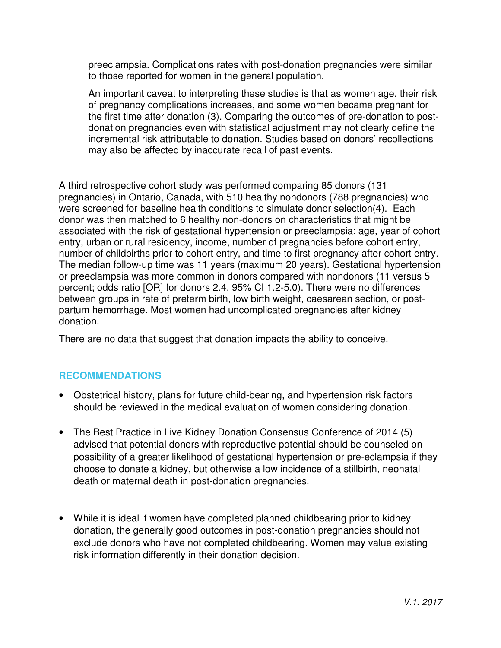preeclampsia. Complications rates with post-donation pregnancies were similar to those reported for women in the general population.

An important caveat to interpreting these studies is that as women age, their risk of pregnancy complications increases, and some women became pregnant for the first time after donation (3). Comparing the outcomes of pre-donation to postdonation pregnancies even with statistical adjustment may not clearly define the incremental risk attributable to donation. Studies based on donors' recollections may also be affected by inaccurate recall of past events.

A third retrospective cohort study was performed comparing 85 donors (131 pregnancies) in Ontario, Canada, with 510 healthy nondonors (788 pregnancies) who were screened for baseline health conditions to simulate donor selection(4). Each donor was then matched to 6 healthy non-donors on characteristics that might be associated with the risk of gestational hypertension or preeclampsia: age, year of cohort entry, urban or rural residency, income, number of pregnancies before cohort entry, number of childbirths prior to cohort entry, and time to first pregnancy after cohort entry. The median follow-up time was 11 years (maximum 20 years). Gestational hypertension or preeclampsia was more common in donors compared with nondonors (11 versus 5 percent; odds ratio [OR] for donors 2.4, 95% CI 1.2-5.0). There were no differences between groups in rate of preterm birth, low birth weight, caesarean section, or postpartum hemorrhage. Most women had uncomplicated pregnancies after kidney donation.

There are no data that suggest that donation impacts the ability to conceive.

#### **RECOMMENDATIONS**

- Obstetrical history, plans for future child-bearing, and hypertension risk factors should be reviewed in the medical evaluation of women considering donation.
- The Best Practice in Live Kidney Donation Consensus Conference of 2014 (5) advised that potential donors with reproductive potential should be counseled on possibility of a greater likelihood of gestational hypertension or pre-eclampsia if they choose to donate a kidney, but otherwise a low incidence of a stillbirth, neonatal death or maternal death in post-donation pregnancies.
- While it is ideal if women have completed planned childbearing prior to kidney donation, the generally good outcomes in post-donation pregnancies should not exclude donors who have not completed childbearing. Women may value existing risk information differently in their donation decision.